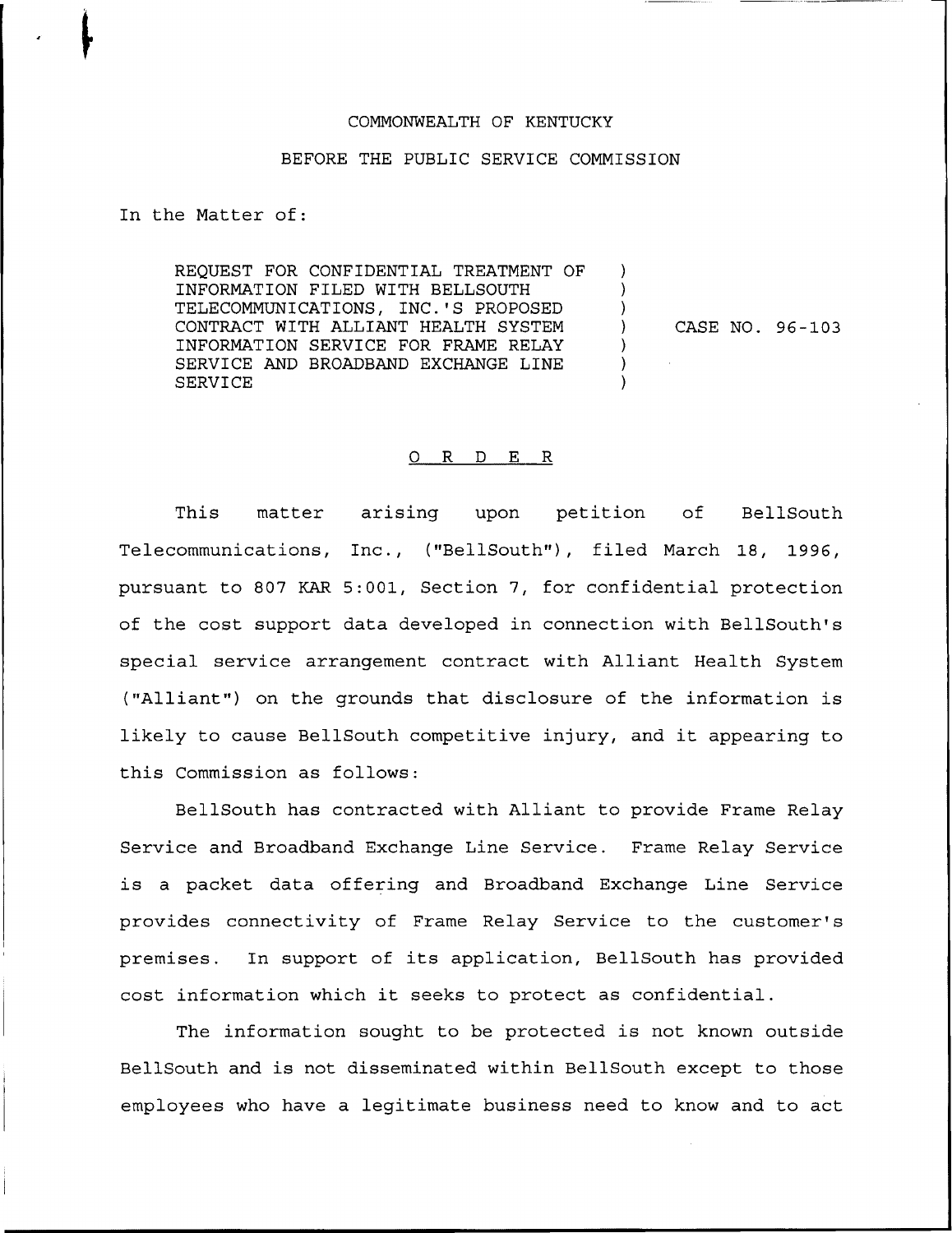## COMMONWEALTH OF KENTUCKY

## BEFORE THE PUBLIC SERVICE COMMISSION

In the Matter of:

REQUEST FOR CONFIDENTIAL TREATMENT OF INFORMATION FILED WITH BELLSOUTH TELECOMMUNICATIONS, INC.'S PROPOSED CONTRACT WITH ALLIANT HEALTH SYSTEM INFORMATION SERVICE FOR FRAME RELAY SERVICE AND BROADBAND EXCHANGE LINE SERVICE

CASE NO. 96-103

J.

Y

## 0 R <sup>D</sup> E R

This matter arising upon petition of BellSouth Telecommunications, Inc., ("BellSouth"), filed March 18, 1996, pursuant to 807 KAR 5:001, Section 7, for confidential protection of the cost support data developed in connection with BellSouth's special service arrangement contract with Alliant Health System ("Alliant") on the grounds that disclosure of the information is likely to cause BellSouth competitive injury, and it appearing to this Commission as follows:

BellSouth has contracted with Alliant to provide Frame Relay Service and Broadband Exchange Line Service. Frame Relay Service is <sup>a</sup> packet data offering and Broadband Exchange Line Service provides connectivity of Frame Relay Service to the customer' premises. In support of its application, BellSouth has provided cost information which it seeks to protect as confidential.

The information sought to be protected is not known outside BellSouth and is not disseminated within BellSouth except to those employees who have a legitimate business need to know and to act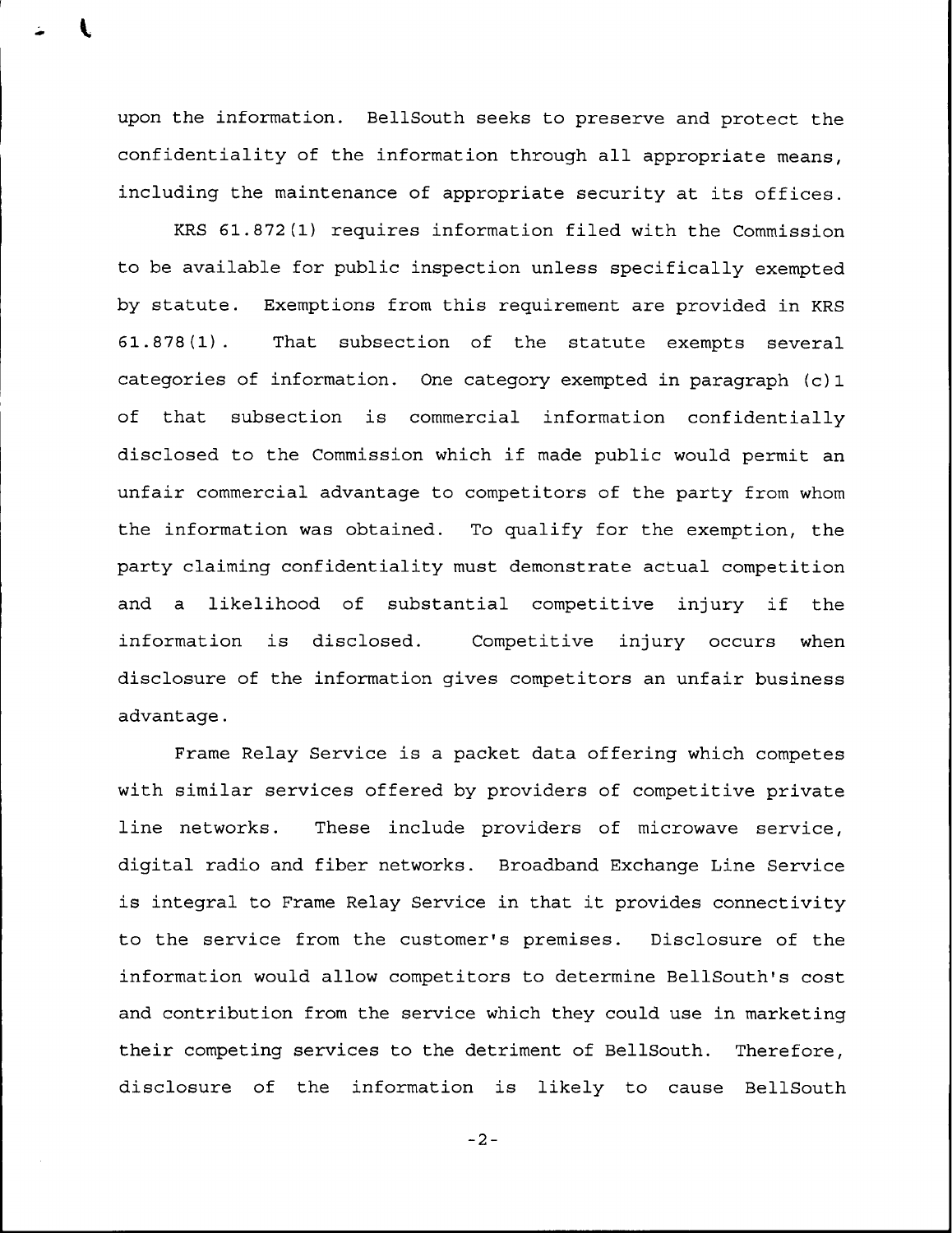upon the information. BellSouth seeks to preserve and protect the confidentiality of the information through all appropriate means, including the maintenance of appropriate security at its offices.

KRS 61.872(1) requires information filed with the Commission to be available for public inspection unless specifically exempted by statute. Exemptions from this requirement are provided in KRS 61.878(1). That subsection of the statute exempts several categories of information. One category exempted in paragraph (c) 1 of that subsection is commercial information confidentially disclosed to the Commission which if made public would permit an unfair commercial advantage to competitors of the party from whom the information was obtained. To qualify for the exemption, the party claiming confidentiality must demonstrate actual competition and <sup>a</sup> likelihood of substantial competitive injury if the information is disclosed. Competitive injury occurs when disclosure of the information gives competitors an unfair business advantage.

Frame Relay Service is a packet data offering which competes with similar services offered by providers of competitive private line networks. These include providers of microwave service, digital radio and fiber networks. Broadband Exchange Line Service is integral to Frame Relay Service in that it provides connectivity to the service from the customer's premises. Disclosure of the information would allow competitors to determine BellSouth's cost and contribution from the service which they could use in marketing their competing services to the detriment of BellSouth. Therefore, disclosure of the information is likely to cause BellSouth

 $-2-$